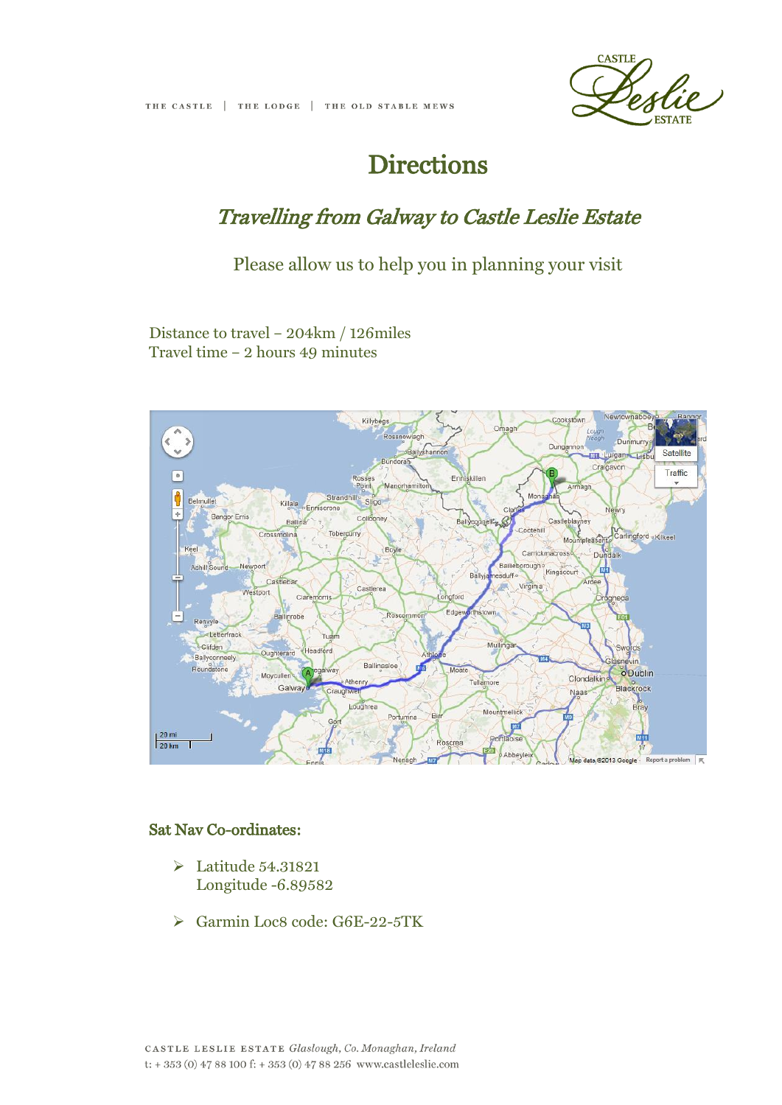

# **Directions**

### Travelling from Galway to Castle Leslie Estate

Please allow us to help you in planning your visit

Distance to travel – 204km / 126miles Travel time – 2 hours 49 minutes



#### Sat Nav Co-ordinates:

- Latitude 54.31821 Longitude -6.89582
- Garmin Loc8 code: G6E-22-5TK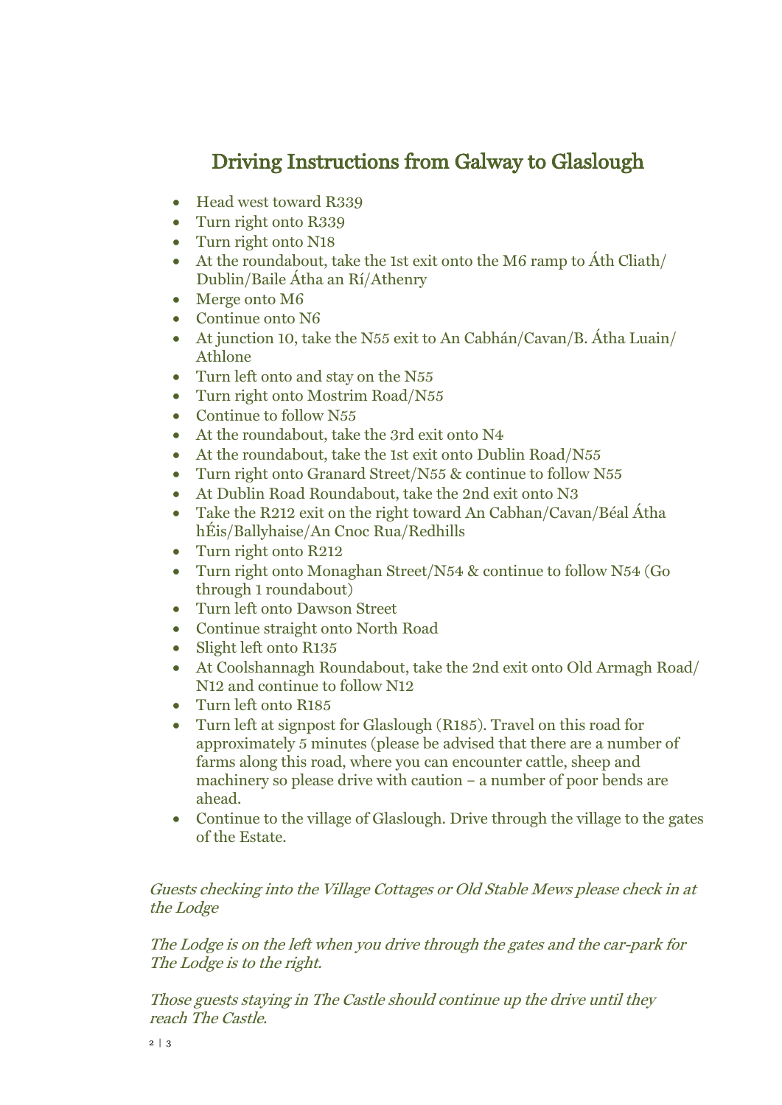## Driving Instructions from Galway to Glaslough

- Head west toward R339
- Turn right onto R339
- Turn right onto N18
- At the roundabout, take the 1st exit onto the M6 ramp to Áth Cliath/ Dublin/Baile Átha an Rí/Athenry
- Merge onto M6
- Continue onto N6
- At junction 10, take the N55 exit to An Cabhán/Cavan/B. Átha Luain/ Athlone
- Turn left onto and stay on the N55
- Turn right onto Mostrim Road/N55
- Continue to follow N55
- At the roundabout, take the 3rd exit onto N4
- At the roundabout, take the 1st exit onto Dublin Road/N55
- Turn right onto Granard Street/N55 & continue to follow N55
- At Dublin Road Roundabout, take the 2nd exit onto N3
- Take the R212 exit on the right toward An Cabhan/Cavan/Béal Átha hÉis/Ballyhaise/An Cnoc Rua/Redhills
- Turn right onto R212
- Turn right onto Monaghan Street/N54 & continue to follow N54 (Go through 1 roundabout)
- Turn left onto Dawson Street
- Continue straight onto North Road
- Slight left onto R135
- At Coolshannagh Roundabout, take the 2nd exit onto Old Armagh Road/ N12 and continue to follow N12
- Turn left onto R185
- Turn left at signpost for Glaslough (R185). Travel on this road for approximately 5 minutes (please be advised that there are a number of farms along this road, where you can encounter cattle, sheep and machinery so please drive with caution – a number of poor bends are ahead.
- Continue to the village of Glaslough. Drive through the village to the gates of the Estate.

### Guests checking into the Village Cottages or Old Stable Mews please check in at the Lodge

The Lodge is on the left when you drive through the gates and the car-park for The Lodge is to the right.

Those guests staying in The Castle should continue up the drive until they reach The Castle.